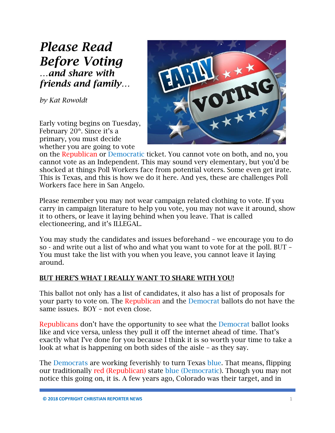# *Please Read Before Voting …and share with friends and family…*

*by Kat Rowoldt*

Early voting begins on Tuesday, February 20<sup>th</sup>. Since it's a primary, you must decide whether you are going to vote



on the Republican or Democratic ticket. You cannot vote on both, and no, you cannot vote as an Independent. This may sound very elementary, but you'd be shocked at things Poll Workers face from potential voters. Some even get irate. This is Texas, and this is how we do it here. And yes, these are challenges Poll Workers face here in San Angelo.

Please remember you may not wear campaign related clothing to vote. If you carry in campaign literature to help you vote, you may not wave it around, show it to others, or leave it laying behind when you leave. That is called electioneering, and it's ILLEGAL.

You may study the candidates and issues beforehand – we encourage you to do so - and write out a list of who and what you want to vote for at the poll. BUT – You must take the list with you when you leave, you cannot leave it laying around.

#### BUT HERE'S WHAT I REALLY WANT TO SHARE WITH YOU!

This ballot not only has a list of candidates, it also has a list of proposals for your party to vote on. The Republican and the Democrat ballots do not have the same issues. BOY – not even close.

Republicans don't have the opportunity to see what the Democrat ballot looks like and vice versa, unless they pull it off the internet ahead of time. That's exactly what I've done for you because I think it is so worth your time to take a look at what is happening on both sides of the aisle – as they say.

The Democrats are working feverishly to turn Texas blue. That means, flipping our traditionally red (Republican) state blue (Democratic). Though you may not notice this going on, it is. A few years ago, Colorado was their target, and in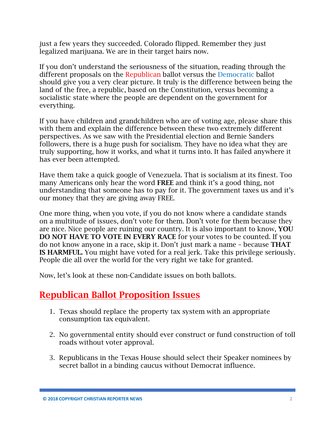just a few years they succeeded. Colorado flipped. Remember they just legalized marijuana. We are in their target hairs now.

If you don't understand the seriousness of the situation, reading through the different proposals on the Republican ballot versus the Democratic ballot should give you a very clear picture. It truly is the difference between being the land of the free, a republic, based on the Constitution, versus becoming a socialistic state where the people are dependent on the government for everything.

If you have children and grandchildren who are of voting age, please share this with them and explain the difference between these two extremely different perspectives. As we saw with the Presidential election and Bernie Sanders followers, there is a huge push for socialism. They have no idea what they are truly supporting, how it works, and what it turns into. It has failed anywhere it has ever been attempted.

Have them take a quick google of Venezuela. That is socialism at its finest. Too many Americans only hear the word FREE and think it's a good thing, not understanding that someone has to pay for it. The government taxes us and it's our money that they are giving away FREE.

One more thing, when you vote, if you do not know where a candidate stands on a multitude of issues, don't vote for them. Don't vote for them because they are nice. Nice people are ruining our country. It is also important to know, YOU DO NOT HAVE TO VOTE IN EVERY RACE for your votes to be counted. If you do not know anyone in a race, skip it. Don't just mark a name – because THAT IS HARMFUL. You might have voted for a real jerk. Take this privilege seriously. People die all over the world for the very right we take for granted.

Now, let's look at these non-Candidate issues on both ballots.

### Republican Ballot Proposition Issues

- 1. Texas should replace the property tax system with an appropriate consumption tax equivalent.
- 2. No governmental entity should ever construct or fund construction of toll roads without voter approval.
- 3. Republicans in the Texas House should select their Speaker nominees by secret ballot in a binding caucus without Democrat influence.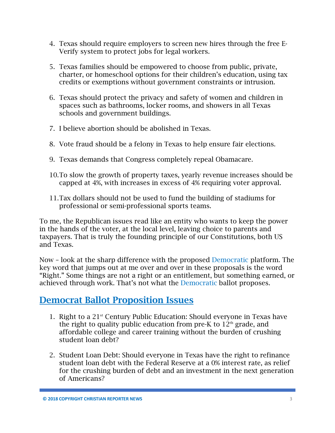- 4. Texas should require employers to screen new hires through the free E-Verify system to protect jobs for legal workers.
- 5. Texas families should be empowered to choose from public, private, charter, or homeschool options for their children's education, using tax credits or exemptions without government constraints or intrusion.
- 6. Texas should protect the privacy and safety of women and children in spaces such as bathrooms, locker rooms, and showers in all Texas schools and government buildings.
- 7. I believe abortion should be abolished in Texas.
- 8. Vote fraud should be a felony in Texas to help ensure fair elections.
- 9. Texas demands that Congress completely repeal Obamacare.
- 10.To slow the growth of property taxes, yearly revenue increases should be capped at 4%, with increases in excess of 4% requiring voter approval.
- 11.Tax dollars should not be used to fund the building of stadiums for professional or semi-professional sports teams.

To me, the Republican issues read like an entity who wants to keep the power in the hands of the voter, at the local level, leaving choice to parents and taxpayers. That is truly the founding principle of our Constitutions, both US and Texas.

Now – look at the sharp difference with the proposed Democratic platform. The key word that jumps out at me over and over in these proposals is the word "Right." Some things are not a right or an entitlement, but something earned, or achieved through work. That's not what the Democratic ballot proposes.

## Democrat Ballot Proposition Issues

- 1. Right to a  $21<sup>st</sup>$  Century Public Education: Should everyone in Texas have the right to quality public education from pre-K to  $12<sup>th</sup>$  grade, and affordable college and career training without the burden of crushing student loan debt?
- 2. Student Loan Debt: Should everyone in Texas have the right to refinance student loan debt with the Federal Reserve at a 0% interest rate, as relief for the crushing burden of debt and an investment in the next generation of Americans?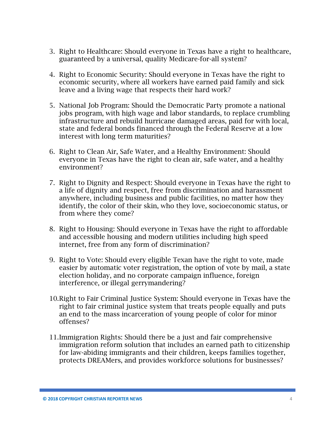- 3. Right to Healthcare: Should everyone in Texas have a right to healthcare, guaranteed by a universal, quality Medicare-for-all system?
- 4. Right to Economic Security: Should everyone in Texas have the right to economic security, where all workers have earned paid family and sick leave and a living wage that respects their hard work?
- 5. National Job Program: Should the Democratic Party promote a national jobs program, with high wage and labor standards, to replace crumbling infrastructure and rebuild hurricane damaged areas, paid for with local, state and federal bonds financed through the Federal Reserve at a low interest with long term maturities?
- 6. Right to Clean Air, Safe Water, and a Healthy Environment: Should everyone in Texas have the right to clean air, safe water, and a healthy environment?
- 7. Right to Dignity and Respect: Should everyone in Texas have the right to a life of dignity and respect, free from discrimination and harassment anywhere, including business and public facilities, no matter how they identify, the color of their skin, who they love, socioeconomic status, or from where they come?
- 8. Right to Housing: Should everyone in Texas have the right to affordable and accessible housing and modern utilities including high speed internet, free from any form of discrimination?
- 9. Right to Vote: Should every eligible Texan have the right to vote, made easier by automatic voter registration, the option of vote by mail, a state election holiday, and no corporate campaign influence, foreign interference, or illegal gerrymandering?
- 10.Right to Fair Criminal Justice System: Should everyone in Texas have the right to fair criminal justice system that treats people equally and puts an end to the mass incarceration of young people of color for minor offenses?
- 11.Immigration Rights: Should there be a just and fair comprehensive immigration reform solution that includes an earned path to citizenship for law-abiding immigrants and their children, keeps families together, protects DREAMers, and provides workforce solutions for businesses?